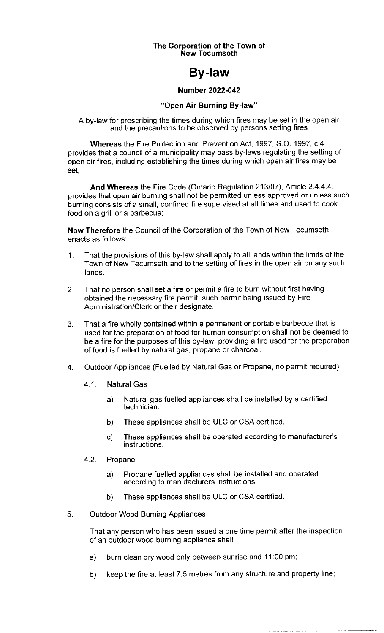#### The Corporation of the Town of New Tecumseth

# By-law

#### Number 2022-042

## "Open Air Burning By-law"

A by-law for prescribing the times during which fires may be set in the open air and the precautions to be observed by persons setting fires

Whereas the Fire Protection and Prevention Act, 1997, S.O. 1997, c.4 provides that a council of a municipality may pass by-laws regulating the setting of open air fires, including establishing the times during which open air fires may be set;

And Whereas the Fire Code (Ontario Regulation 213/07), Article 2.4.4.4. provides that open air burning shall not be permitted unless approved or unless such burning consists of a small, confined fire supervised at all times and used to cook food on a grill or a barbecue;

Now Therefore the Council of the Corporation of the Town of New Tecumseth enacts as follows:

- 1. That the provisions of this by- law shall apply to all lands within the limits of the Town of New Tecumseth and to the setting of fires in the open air on any such lands.
- 2. That no person shall set a fire or permit a fire to burn without first having obtained the necessary fire permit, such permit being issued by Fire Administration/Clerk or their designate.
- 3. That a fire wholly contained within a permanent or portable barbecue that is used for the preparation of food for human consumption shall not be deemed to be a fire for the purposes of this by- law, providing a fire used for the preparation of food is fuelled by natural gas, propane or charcoal.
- 4. Outdoor Appliances (Fuelled by Natural Gas or Propane, no permit required)
	- 4.1. Natural Gas
		- a) Natural gas fuelled appliances shall be installed by a certified technician.
		- b) These appliances shall be ULC or CSA certified.
		- c) These appliances shall be operated according to manufacturer's instructions.
	- 4.2. Propane
		- a) Propane fuelled appliances shall be installed and operated according to manufacturers instructions.
		- b) These appliances shall be ULC or CSA certified.
- 5. Outdoor Wood Burning Appliances

That any person who has been issued a one time permit after the inspection of an outdoor wood burning appliance shall:

- a) burn clean dry wood only between sunrise and 11:00 pm;
- b) keep the fire at least 7. 5 metres from any structure and property line;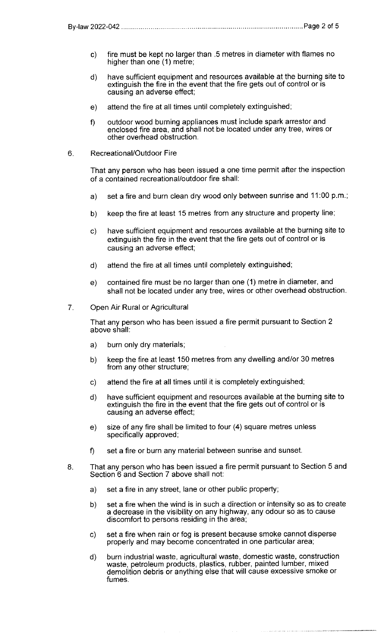- c) fire must be kept no larger than . 5 metres in diameter with flames no higher than one (1) metre;
- d) have sufficient equipment and resources available at the burning site to extinguish the fire in the event that the fire gets out of control or is causing an adverse effect;
- e) attend the fire at all times until completely extinguished;
- f) outdoor wood burning appliances must include spark arrestor and enclosed fire area, and shall not be located under any tree, wires or other overhead obstruction.
- 6. Recreational/Outdoor Fire

That any person who has been issued a one time permit after the inspection of a contained recreational/outdoor fire shall:

- a) set a fire and burn clean dry wood only between sunrise and 11:00 p.m.;
- b) keep the fire at least 15 metres from any structure and property line;
- c) have sufficient equipment and resources available at the burning site to extinguish the fire in the event that the fire gets out of control or is causing an adverse effect;
- d) attend the fire at all times until completely extinguished;
- e) contained fire must be no larger than one (1) metre in diameter, and shall not be located under any tree, wires or other overhead obstruction.
- 7. Open Air Rural or Agricultural

That any person who has been issued a fire permit pursuant to Section 2 above shall:

- a) burn only dry materials;
- b) keep the fire at least 150 metres from any dwelling and/or 30 metres from any other structure;
- c) attend the fire at all times until it is completely extinguished;
- d) have sufficient equipment and resources available at the burning site to extinguish the fire in the event that the fire gets out of control or is causing an adverse effect;
- e) size of any fire shall be limited to four (4) square metres unless specifically approved;
- f) set <sup>a</sup> fire or burn any material between sunrise and sunset.
- 8. That any person who has been issued a fire permit pursuant to Section 5 and Section 6 and Section 7 above shall not:
	- a) set a fire in any street, lane or other public property;
	- b) set a fire when the wind is in such a direction or intensity so as to create a decrease in the visibility on any highway, any odour so as to cause discomfort to persons residing in the area;
	- c) set a fire when rain or fog is present because smoke cannot disperse properly and may become concentrated in one particular area;
	- d) burn industrial waste, agricultural waste, domestic waste, construction waste, petroleum products, plastics, rubber, painted lumber, mixed demolition debris or anything else that will cause excessive smoke or fumes.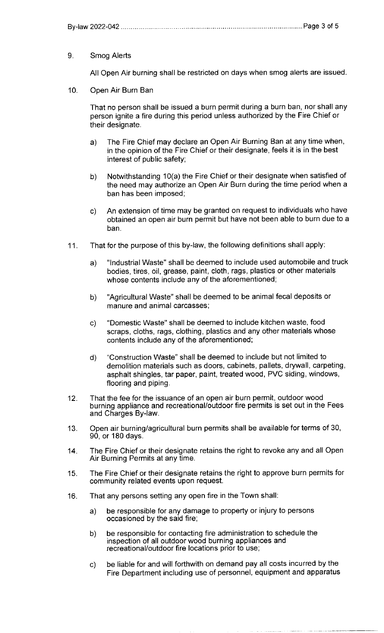### 9. Smog Alerts

All Open Air burning shall be restricted on days when smog alerts are issued.

10. Open Air Burn Ban

That no person shall be issued a burn permit during a burn ban, nor shall any person ignite a fire during this period unless authorized by the Fire Chief or their designate.

- a) The Fire Chief may declare an Open Air Burning Ban at any time when, in the opinion of the Fire Chief or their designate, feels it is in the best interest of public safety;
- b) Notwithstanding 10(a) the Fire Chief or their designate when satisfied of the need may authorize an Open Air Burn during the time period when a ban has been imposed;
- c) An extension of time may be granted on request to individuals who have obtained an open air burn permit but have not been able to burn due to a ban.
- 11. That for the purpose of this by- law, the following definitions shall apply:
	- a) " Industrial Waste" shall be deemed to include used automobile and truck bodies, tires, oil, grease, paint, cloth, rags, plastics or other materials whose contents include any of the aforementioned;
	- b) "Agricultural Waste" shall be deemed to be animal fecal deposits or manure and animal carcasses;
	- c) " Domestic Waste" shall be deemed to include kitchen waste, food scraps, cloths, rags, clothing, plastics and any other materials whose contents include any of the aforementioned;
	- d) " Construction Waste" shall be deemed to include but not limited to demolition materials such as doors, cabinets, pallets, drywall, carpeting, asphalt shingles, tar paper, paint, treated wood, PVC siding, windows, flooring and piping.
- 12. That the fee for the issuance of an open air burn permit, outdoor wood burning appliance and recreational/ outdoor fire permits is set out in the Fees and Charges By-law.
- 13. Open air burning/agricultural burn permits shall be available for terms of 30, 90, or 180 days.
- 14. The Fire Chief or their designate retains the right to revoke any and all Open Air Burning Permits at any time.
- 15. The Fire Chief or their designate retains the right to approve burn permits for community related events upon request.
- 16. That any persons setting any open fire in the Town shall:
	- a) be responsible for any damage to property or injury to persons occasioned by the said fire;
	- b) be responsible for contacting fire administration to schedule the inspection of all outdoor wood burning appliances and recreational/outdoor fire locations prior to use;
	- c) be liable for and will forthwith on demand pay all costs incurred by the Fire Department including use of personnel, equipment and apparatus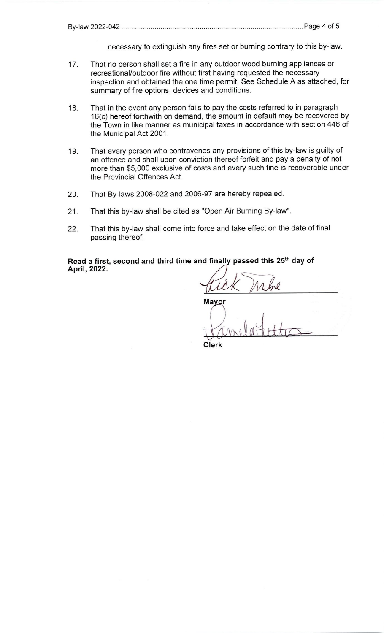necessary to extinguish any fires set or burning contrary to this by-law.

- 17. That no person shall set a fire in any outdoor wood burning appliances or recreational/outdoor fire without first having requested the necessary inspection and obtained the one time permit. See Schedule A as attached, for summary of fire options, devices and conditions.
- 18. That in the event any person fails to pay the costs referred to in paragraph 16(c) hereof forthwith on demand, the amount in default may be recovered by the Town in like manner as municipal taxes in accordance with section 446 of the Municipal Act 2001.
- 19. That every person who contravenes any provisions of this by-law is guilty of an offence and shall upon conviction thereof forfeit and pay a penalty of not more than \$5,000 exclusive of costs and every such fine is recoverable under the Provincial Offences Act.
- 20. That By-laws 2008-022 and 2006-97 are hereby repealed.
- 21. That this by-law shall be cited as "Open Air Burning By-law".
- 22. That this by-law shall come into force and take effect on the date of final passing thereof.

Read a first, second and third time and finally passed this 25<sup>th</sup> day of April, 2022.

Free and take effect on the date of find<br>
d finally passed this 25<sup>th</sup> day of<br>
Which While<br>
Mayor<br>
The Mulle Little Mavor

Clerk